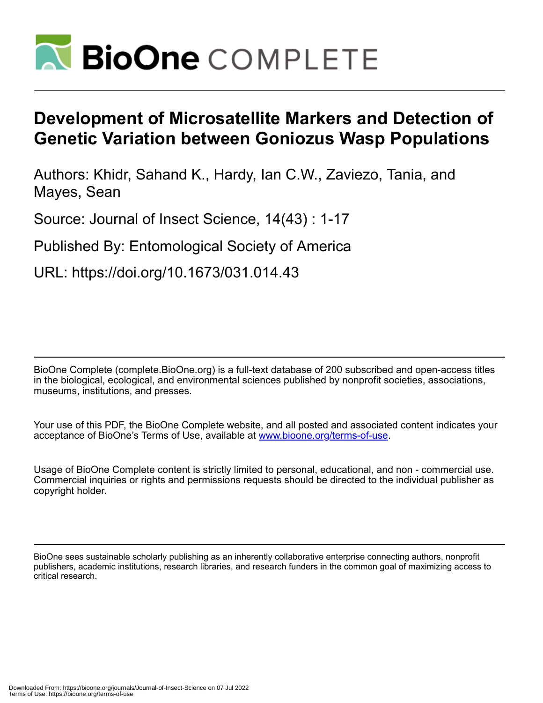

# **Development of Microsatellite Markers and Detection of Genetic Variation between Goniozus Wasp Populations**

Authors: Khidr, Sahand K., Hardy, Ian C.W., Zaviezo, Tania, and Mayes, Sean

Source: Journal of Insect Science, 14(43) : 1-17

Published By: Entomological Society of America

URL: https://doi.org/10.1673/031.014.43

BioOne Complete (complete.BioOne.org) is a full-text database of 200 subscribed and open-access titles in the biological, ecological, and environmental sciences published by nonprofit societies, associations, museums, institutions, and presses.

Your use of this PDF, the BioOne Complete website, and all posted and associated content indicates your acceptance of BioOne's Terms of Use, available at www.bioone.org/terms-of-use.

Usage of BioOne Complete content is strictly limited to personal, educational, and non - commercial use. Commercial inquiries or rights and permissions requests should be directed to the individual publisher as copyright holder.

BioOne sees sustainable scholarly publishing as an inherently collaborative enterprise connecting authors, nonprofit publishers, academic institutions, research libraries, and research funders in the common goal of maximizing access to critical research.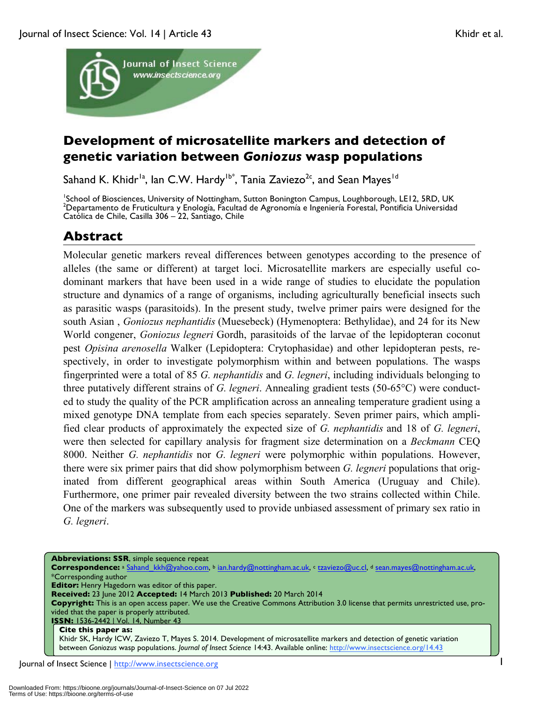

## **Development of microsatellite markers and detection of genetic variation between** *Goniozus* **wasp populations**

Sahand K. Khidr<sup>1a</sup>, Ian C.W. Hardy<sup>1b\*</sup>, Tania Zaviezo<sup>2c</sup>, and Sean Mayes<sup>1d</sup>

<sup>1</sup>School of Biosciences, University of Nottingham, Sutton Bonington Campus, Loughborough, LE12, 5RD, UK<br><sup>2</sup>Departments de Frutisulture y Englegía, Fesulted de Agrenomía e Ingeniería Ferestel, Bontificia Universida <sup>2</sup>Departamento de Fruticultura y Enología, Facultad de Agronomía e Ingeniería Forestal, Pontificia Universidad Católica de Chile, Casilla 306 – 22, Santiago, Chile

## **Abstract**

Molecular genetic markers reveal differences between genotypes according to the presence of alleles (the same or different) at target loci. Microsatellite markers are especially useful codominant markers that have been used in a wide range of studies to elucidate the population structure and dynamics of a range of organisms, including agriculturally beneficial insects such as parasitic wasps (parasitoids). In the present study, twelve primer pairs were designed for the south Asian , *Goniozus nephantidis* (Muesebeck) (Hymenoptera: Bethylidae), and 24 for its New World congener, *Goniozus legneri* Gordh, parasitoids of the larvae of the lepidopteran coconut pest *Opisina arenosella* Walker (Lepidoptera: Crytophasidae) and other lepidopteran pests, respectively, in order to investigate polymorphism within and between populations. The wasps fingerprinted were a total of 85 *G. nephantidis* and *G. legneri*, including individuals belonging to three putatively different strains of *G. legneri*. Annealing gradient tests (50-65°C) were conducted to study the quality of the PCR amplification across an annealing temperature gradient using a mixed genotype DNA template from each species separately. Seven primer pairs, which amplified clear products of approximately the expected size of *G. nephantidis* and 18 of *G. legneri*, were then selected for capillary analysis for fragment size determination on a *Beckmann* CEQ 8000. Neither *G. nephantidis* nor *G. legneri* were polymorphic within populations. However, there were six primer pairs that did show polymorphism between *G. legneri* populations that originated from different geographical areas within South America (Uruguay and Chile). Furthermore, one primer pair revealed diversity between the two strains collected within Chile. One of the markers was subsequently used to provide unbiased assessment of primary sex ratio in *G. legneri*.

Journal of Insect Science | http://www.insectscience.org 1 **Abbreviations: SSR**, simple sequence repeat **Correspondence:** <sup>a</sup> Sahand\_kkh@yahoo.com, b ian.hardy@nottingham.ac.uk, c tzaviezo@uc.cl, d sean.mayes@nottingham.ac.uk, \*Corresponding author **Editor:** Henry Hagedorn was editor of this paper. **Received:** 23 June 2012 **Accepted:** 14 March 2013 **Published:** 20 March 2014 **Copyright:** This is an open access paper. We use the Creative Commons Attribution 3.0 license that permits unrestricted use, provided that the paper is properly attributed. **ISSN:** 1536-2442 | Vol. 14, Number 43 **Cite this paper as:** Khidr SK, Hardy ICW, Zaviezo T, Mayes S. 2014. Development of microsatellite markers and detection of genetic variation between *Goniozus* wasp populations. *Journal of Insect Science* 14:43. Available online: http://www.insectscience.org/14.43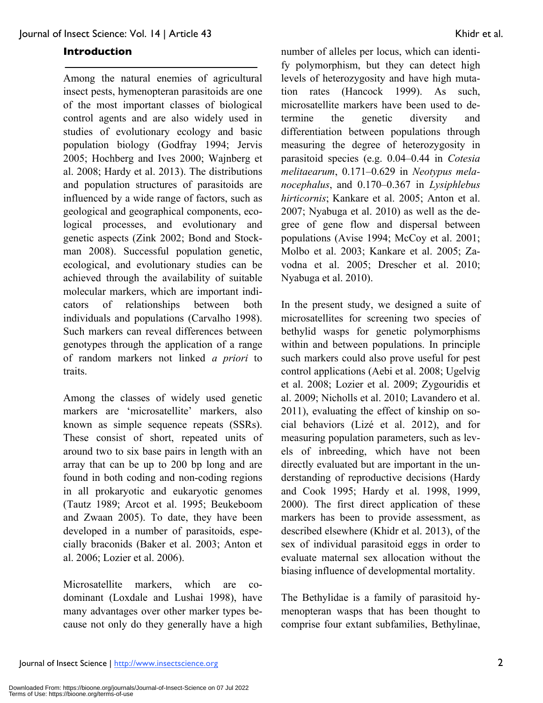#### **Introduction**

Among the natural enemies of agricultural insect pests, hymenopteran parasitoids are one of the most important classes of biological control agents and are also widely used in studies of evolutionary ecology and basic population biology (Godfray 1994; Jervis 2005; Hochberg and Ives 2000; Wajnberg et al. 2008; Hardy et al. 2013). The distributions and population structures of parasitoids are influenced by a wide range of factors, such as geological and geographical components, ecological processes, and evolutionary and genetic aspects (Zink 2002; Bond and Stockman 2008). Successful population genetic, ecological, and evolutionary studies can be achieved through the availability of suitable molecular markers, which are important indicators of relationships between both individuals and populations (Carvalho 1998). Such markers can reveal differences between genotypes through the application of a range of random markers not linked *a priori* to traits.

Among the classes of widely used genetic markers are 'microsatellite' markers, also known as simple sequence repeats (SSRs). These consist of short, repeated units of around two to six base pairs in length with an array that can be up to 200 bp long and are found in both coding and non-coding regions in all prokaryotic and eukaryotic genomes (Tautz 1989; Arcot et al. 1995; Beukeboom and Zwaan 2005). To date, they have been developed in a number of parasitoids, especially braconids (Baker et al. 2003; Anton et al. 2006; Lozier et al. 2006).

Microsatellite markers, which are codominant (Loxdale and Lushai 1998), have many advantages over other marker types because not only do they generally have a high

number of alleles per locus, which can identify polymorphism, but they can detect high levels of heterozygosity and have high mutation rates (Hancock 1999). As such, microsatellite markers have been used to determine the genetic diversity and differentiation between populations through measuring the degree of heterozygosity in parasitoid species (e.g. 0.04–0.44 in *Cotesia melitaearum*, 0.171–0.629 in *Neotypus melanocephalus*, and 0.170–0.367 in *Lysiphlebus hirticornis*; Kankare et al. 2005; Anton et al. 2007; Nyabuga et al. 2010) as well as the degree of gene flow and dispersal between populations (Avise 1994; McCoy et al. 2001; Molbo et al. 2003; Kankare et al. 2005; Zavodna et al. 2005; Drescher et al. 2010; Nyabuga et al. 2010).

In the present study, we designed a suite of microsatellites for screening two species of bethylid wasps for genetic polymorphisms within and between populations. In principle such markers could also prove useful for pest control applications (Aebi et al. 2008; Ugelvig et al. 2008; Lozier et al. 2009; Zygouridis et al. 2009; Nicholls et al. 2010; Lavandero et al. 2011), evaluating the effect of kinship on social behaviors (Lizé et al. 2012), and for measuring population parameters, such as levels of inbreeding, which have not been directly evaluated but are important in the understanding of reproductive decisions (Hardy and Cook 1995; Hardy et al. 1998, 1999, 2000). The first direct application of these markers has been to provide assessment, as described elsewhere (Khidr et al. 2013), of the sex of individual parasitoid eggs in order to evaluate maternal sex allocation without the biasing influence of developmental mortality.

The Bethylidae is a family of parasitoid hymenopteran wasps that has been thought to comprise four extant subfamilies, Bethylinae,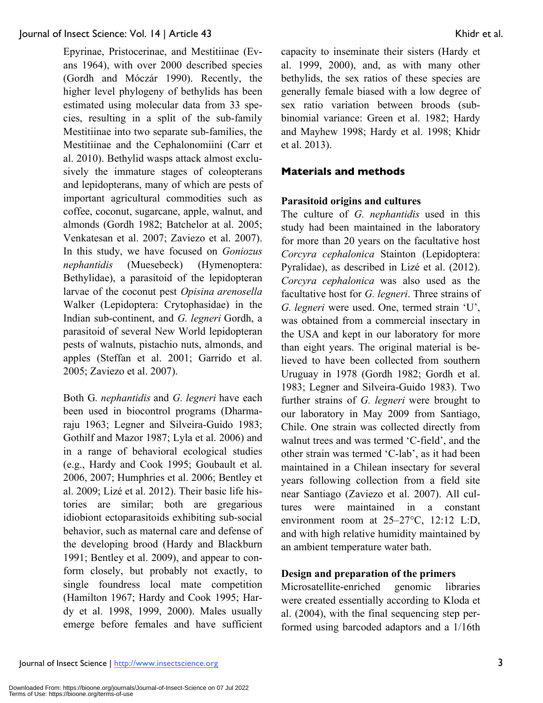Epyrinae, Pristocerinae, and Mestitiinae (Evans 1964), with over 2000 described species (Gordh and Móczár 1990). Recently, the higher level phylogeny of bethylids has been estimated using molecular data from 33 species, resulting in a split of the sub-family Mestitiinae into two separate sub-families, the Mestitiinae and the Cephalonomiini (Carr et al. 2010). Bethylid wasps attack almost exclusively the immature stages of coleopterans and lepidopterans, many of which are pests of important agricultural commodities such as coffee, coconut, sugarcane, apple, walnut, and almonds (Gordh 1982; Batchelor at al. 2005; Venkatesan et al. 2007; Zaviezo et al. 2007). In this study, we have focused on *Goniozus nephantidis* (Muesebeck) (Hymenoptera: Bethylidae), a parasitoid of the lepidopteran larvae of the coconut pest *Opisina arenosella*  Walker (Lepidoptera: Crytophasidae) in the Indian sub-continent, and *G. legneri* Gordh, a parasitoid of several New World lepidopteran pests of walnuts, pistachio nuts, almonds, and apples (Steffan et al. 2001; Garrido et al. 2005; Zaviezo et al. 2007).

Both G*. nephantidis* and *G. legneri* have each been used in biocontrol programs (Dharmaraju 1963; Legner and Silveira-Guido 1983; Gothilf and Mazor 1987; Lyla et al. 2006) and in a range of behavioral ecological studies (e.g., Hardy and Cook 1995; Goubault et al. 2006, 2007; Humphries et al. 2006; Bentley et al. 2009; Lizé et al. 2012). Their basic life histories are similar; both are gregarious idiobiont ectoparasitoids exhibiting sub-social behavior, such as maternal care and defense of the developing brood (Hardy and Blackburn 1991; Bentley et al. 2009), and appear to conform closely, but probably not exactly, to single foundress local mate competition (Hamilton 1967; Hardy and Cook 1995; Hardy et al. 1998, 1999, 2000). Males usually emerge before females and have sufficient

capacity to inseminate their sisters (Hardy et al. 1999, 2000), and, as with many other bethylids, the sex ratios of these species are generally female biased with a low degree of sex ratio variation between broods (subbinomial variance: Green et al. 1982; Hardy and Mayhew 1998; Hardy et al. 1998; Khidr et al. 2013).

## **Materials and methods**

## **Parasitoid origins and cultures**

The culture of *G. nephantidis* used in this study had been maintained in the laboratory for more than 20 years on the facultative host *Corcyra cephalonica* Stainton (Lepidoptera: Pyralidae), as described in Lizé et al. (2012). *Corcyra cephalonica* was also used as the facultative host for *G. legneri*. Three strains of *G. legneri* were used. One, termed strain 'U', was obtained from a commercial insectary in the USA and kept in our laboratory for more than eight years. The original material is believed to have been collected from southern Uruguay in 1978 (Gordh 1982; Gordh et al. 1983; Legner and Silveira-Guido 1983). Two further strains of *G. legneri* were brought to our laboratory in May 2009 from Santiago, Chile. One strain was collected directly from walnut trees and was termed 'C-field', and the other strain was termed 'C-lab', as it had been maintained in a Chilean insectary for several years following collection from a field site near Santiago (Zaviezo et al. 2007). All cultures were maintained in a constant environment room at 25–27°C, 12:12 L:D, and with high relative humidity maintained by an ambient temperature water bath.

## **Design and preparation of the primers**

Microsatellite-enriched genomic libraries were created essentially according to Kloda et al. (2004), with the final sequencing step performed using barcoded adaptors and a 1/16th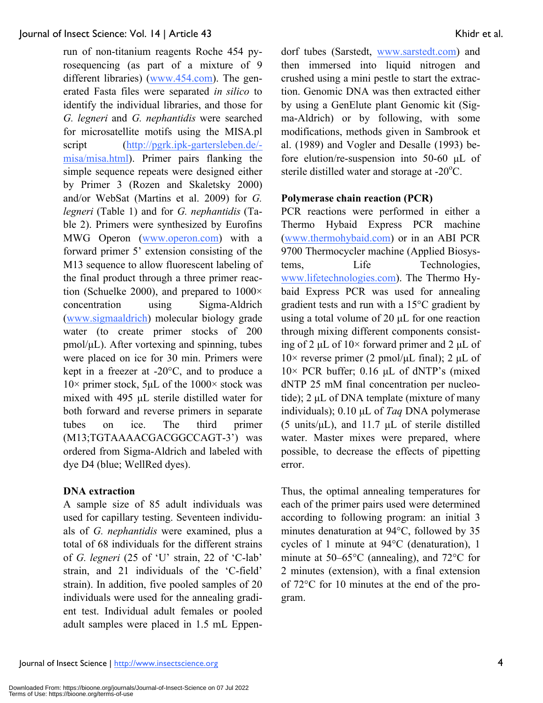run of non-titanium reagents Roche 454 pyrosequencing (as part of a mixture of 9 different libraries) (www.454.com). The generated Fasta files were separated *in silico* to identify the individual libraries, and those for *G. legneri* and *G. nephantidis* were searched for microsatellite motifs using the MISA.pl script (http://pgrk.ipk-gartersleben.de/ misa/misa.html). Primer pairs flanking the simple sequence repeats were designed either by Primer 3 (Rozen and Skaletsky 2000) and/or WebSat (Martins et al. 2009) for *G. legneri* (Table 1) and for *G. nephantidis* (Table 2). Primers were synthesized by Eurofins MWG Operon (www.operon.com) with a forward primer 5' extension consisting of the M13 sequence to allow fluorescent labeling of the final product through a three primer reaction (Schuelke 2000), and prepared to  $1000 \times$ concentration using Sigma-Aldrich (www.sigmaaldrich) molecular biology grade water (to create primer stocks of 200 pmol/µL). After vortexing and spinning, tubes were placed on ice for 30 min. Primers were kept in a freezer at -20°C, and to produce a  $10\times$  primer stock, 5µL of the  $1000\times$  stock was mixed with 495 µL sterile distilled water for both forward and reverse primers in separate tubes on ice. The third primer (M13;TGTAAAACGACGGCCAGT-3') was ordered from Sigma-Aldrich and labeled with dye D4 (blue; WellRed dyes).

## **DNA extraction**

A sample size of 85 adult individuals was used for capillary testing. Seventeen individuals of *G. nephantidis* were examined, plus a total of 68 individuals for the different strains of *G. legneri* (25 of 'U' strain, 22 of 'C-lab' strain, and 21 individuals of the 'C-field' strain). In addition, five pooled samples of 20 individuals were used for the annealing gradient test. Individual adult females or pooled adult samples were placed in 1.5 mL Eppendorf tubes (Sarstedt, www.sarstedt.com) and then immersed into liquid nitrogen and crushed using a mini pestle to start the extraction. Genomic DNA was then extracted either by using a GenElute plant Genomic kit (Sigma-Aldrich) or by following, with some modifications, methods given in Sambrook et al. (1989) and Vogler and Desalle (1993) before elution/re-suspension into 50-60 µL of sterile distilled water and storage at  $-20^{\circ}$ C.

## **Polymerase chain reaction (PCR)**

PCR reactions were performed in either a Thermo Hybaid Express PCR machine (www.thermohybaid.com) or in an ABI PCR 9700 Thermocycler machine (Applied Biosystems, Life Technologies, www.lifetechnologies.com). The Thermo Hybaid Express PCR was used for annealing gradient tests and run with a 15°C gradient by using a total volume of 20 µL for one reaction through mixing different components consisting of 2  $\mu$ L of 10× forward primer and 2  $\mu$ L of  $10\times$  reverse primer (2 pmol/ $\mu$ L final); 2  $\mu$ L of  $10\times$  PCR buffer; 0.16 µL of dNTP's (mixed dNTP 25 mM final concentration per nucleotide); 2 µL of DNA template (mixture of many individuals); 0.10 µL of *Taq* DNA polymerase (5 units/ $\mu$ L), and 11.7  $\mu$ L of sterile distilled water. Master mixes were prepared, where possible, to decrease the effects of pipetting error.

Thus, the optimal annealing temperatures for each of the primer pairs used were determined according to following program: an initial 3 minutes denaturation at 94°C, followed by 35 cycles of 1 minute at 94°C (denaturation), 1 minute at 50–65°C (annealing), and 72°C for 2 minutes (extension), with a final extension of 72°C for 10 minutes at the end of the program.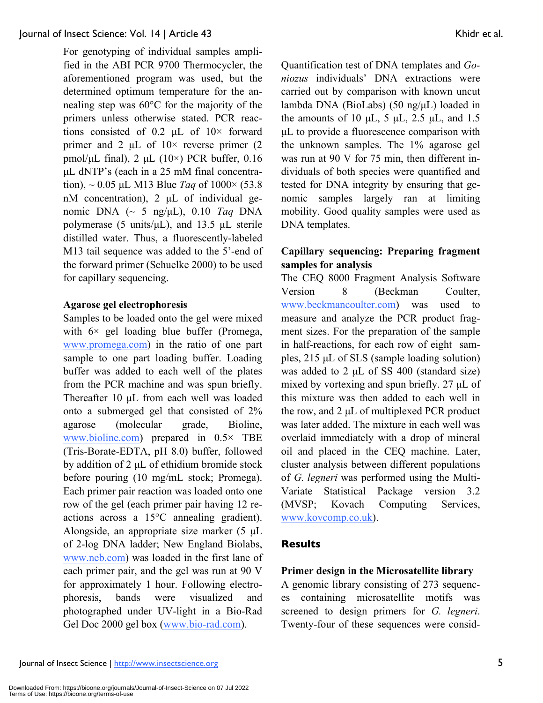For genotyping of individual samples amplified in the ABI PCR 9700 Thermocycler, the aforementioned program was used, but the determined optimum temperature for the annealing step was 60°C for the majority of the primers unless otherwise stated. PCR reactions consisted of 0.2  $\mu$ L of 10× forward primer and 2  $\mu$ L of  $10\times$  reverse primer (2) pmol/ $\mu$ L final), 2  $\mu$ L (10×) PCR buffer, 0.16 µL dNTP's (each in a 25 mM final concentration), ~ 0.05 µL M13 Blue *Taq* of 1000× (53.8 nM concentration), 2 µL of individual genomic DNA (~ 5 ng/µL), 0.10 *Taq* DNA polymerase (5 units/µL), and 13.5 µL sterile distilled water. Thus, a fluorescently-labeled M13 tail sequence was added to the 5'-end of the forward primer (Schuelke 2000) to be used for capillary sequencing.

#### **Agarose gel electrophoresis**

Samples to be loaded onto the gel were mixed with  $6 \times$  gel loading blue buffer (Promega, www.promega.com) in the ratio of one part sample to one part loading buffer. Loading buffer was added to each well of the plates from the PCR machine and was spun briefly. Thereafter 10 µL from each well was loaded onto a submerged gel that consisted of 2% agarose (molecular grade, Bioline, www.bioline.com) prepared in 0.5× TBE (Tris-Borate-EDTA, pH 8.0) buffer, followed by addition of 2 µL of ethidium bromide stock before pouring (10 mg/mL stock; Promega). Each primer pair reaction was loaded onto one row of the gel (each primer pair having 12 reactions across a 15°C annealing gradient). Alongside, an appropriate size marker (5 µL of 2-log DNA ladder; New England Biolabs, www.neb.com) was loaded in the first lane of each primer pair, and the gel was run at 90 V for approximately 1 hour. Following electrophoresis, bands were visualized and photographed under UV-light in a Bio-Rad Gel Doc 2000 gel box (www.bio-rad.com).

Quantification test of DNA templates and *Goniozus* individuals' DNA extractions were carried out by comparison with known uncut lambda DNA (BioLabs) (50 ng/µL) loaded in the amounts of 10  $\mu$ L, 5  $\mu$ L, 2.5  $\mu$ L, and 1.5 µL to provide a fluorescence comparison with the unknown samples. The 1% agarose gel was run at 90 V for 75 min, then different individuals of both species were quantified and tested for DNA integrity by ensuring that genomic samples largely ran at limiting mobility. Good quality samples were used as DNA templates.

## **Capillary sequencing: Preparing fragment samples for analysis**

The CEQ 8000 Fragment Analysis Software Version 8 (Beckman Coulter, www.beckmancoulter.com) was used to measure and analyze the PCR product fragment sizes. For the preparation of the sample in half-reactions, for each row of eight samples, 215 µL of SLS (sample loading solution) was added to 2 µL of SS 400 (standard size) mixed by vortexing and spun briefly. 27 µL of this mixture was then added to each well in the row, and 2 µL of multiplexed PCR product was later added. The mixture in each well was overlaid immediately with a drop of mineral oil and placed in the CEQ machine. Later, cluster analysis between different populations of *G. legneri* was performed using the Multi-Variate Statistical Package version 3.2 (MVSP; Kovach Computing Services, www.kovcomp.co.uk).

## **Results**

## **Primer design in the Microsatellite library**

A genomic library consisting of 273 sequences containing microsatellite motifs was screened to design primers for *G. legneri*. Twenty-four of these sequences were consid-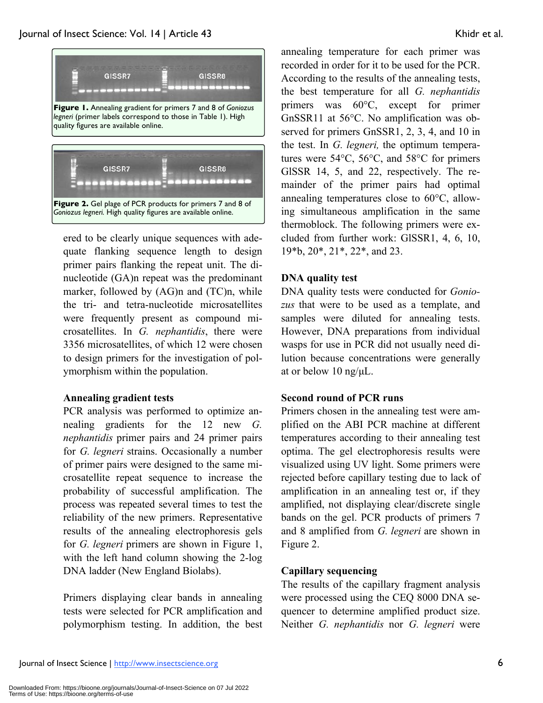

ered to be clearly unique sequences with adequate flanking sequence length to design primer pairs flanking the repeat unit. The dinucleotide (GA)n repeat was the predominant marker, followed by (AG)n and (TC)n, while the tri- and tetra-nucleotide microsatellites were frequently present as compound microsatellites. In *G. nephantidis*, there were 3356 microsatellites, of which 12 were chosen to design primers for the investigation of polymorphism within the population.

## **Annealing gradient tests**

PCR analysis was performed to optimize annealing gradients for the 12 new *G. nephantidis* primer pairs and 24 primer pairs for *G. legneri* strains. Occasionally a number of primer pairs were designed to the same microsatellite repeat sequence to increase the probability of successful amplification. The process was repeated several times to test the reliability of the new primers. Representative results of the annealing electrophoresis gels for *G. legneri* primers are shown in Figure 1, with the left hand column showing the 2-log DNA ladder (New England Biolabs).

Primers displaying clear bands in annealing tests were selected for PCR amplification and polymorphism testing. In addition, the best annealing temperature for each primer was recorded in order for it to be used for the PCR. According to the results of the annealing tests, the best temperature for all *G. nephantidis*  primers was 60°C, except for primer GnSSR11 at 56°C. No amplification was observed for primers GnSSR1, 2, 3, 4, and 10 in the test. In *G. legneri,* the optimum temperatures were 54°C, 56°C, and 58°C for primers GlSSR 14, 5, and 22, respectively. The remainder of the primer pairs had optimal annealing temperatures close to 60°C, allowing simultaneous amplification in the same thermoblock. The following primers were excluded from further work: GlSSR1, 4, 6, 10, 19\*b, 20\*, 21\*, 22\*, and 23.

## **DNA quality test**

DNA quality tests were conducted for *Goniozus* that were to be used as a template, and samples were diluted for annealing tests. However, DNA preparations from individual wasps for use in PCR did not usually need dilution because concentrations were generally at or below 10 ng/µL.

## **Second round of PCR runs**

Primers chosen in the annealing test were amplified on the ABI PCR machine at different temperatures according to their annealing test optima. The gel electrophoresis results were visualized using UV light. Some primers were rejected before capillary testing due to lack of amplification in an annealing test or, if they amplified, not displaying clear/discrete single bands on the gel. PCR products of primers 7 and 8 amplified from *G. legneri* are shown in Figure 2.

## **Capillary sequencing**

The results of the capillary fragment analysis were processed using the CEQ 8000 DNA sequencer to determine amplified product size. Neither *G. nephantidis* nor *G. legneri* were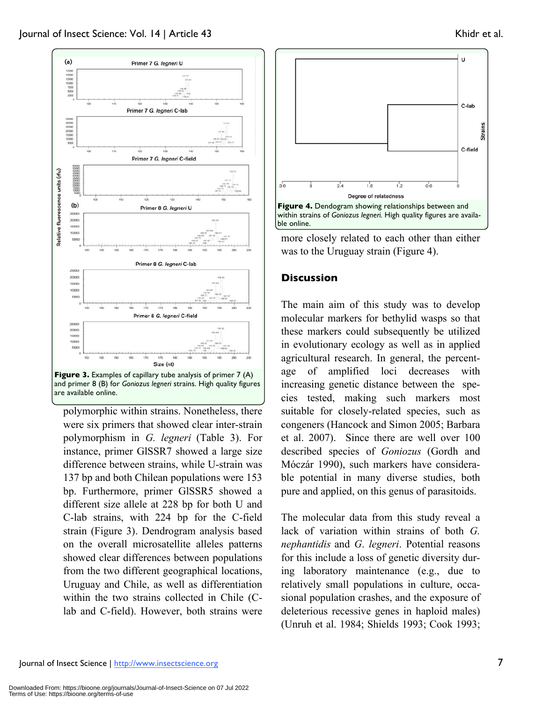

polymorphic within strains. Nonetheless, there were six primers that showed clear inter-strain polymorphism in *G. legneri* (Table 3). For instance, primer GlSSR7 showed a large size difference between strains, while U-strain was 137 bp and both Chilean populations were 153 bp. Furthermore, primer GlSSR5 showed a different size allele at 228 bp for both U and C-lab strains, with 224 bp for the C-field strain (Figure 3). Dendrogram analysis based on the overall microsatellite alleles patterns showed clear differences between populations from the two different geographical locations, Uruguay and Chile, as well as differentiation within the two strains collected in Chile (Clab and C-field). However, both strains were





more closely related to each other than either was to the Uruguay strain (Figure 4).

## **Discussion**

The main aim of this study was to develop molecular markers for bethylid wasps so that these markers could subsequently be utilized in evolutionary ecology as well as in applied agricultural research. In general, the percentage of amplified loci decreases with increasing genetic distance between the species tested, making such markers most suitable for closely-related species, such as congeners (Hancock and Simon 2005; Barbara et al. 2007). Since there are well over 100 described species of *Goniozus* (Gordh and Móczár 1990), such markers have considerable potential in many diverse studies, both pure and applied, on this genus of parasitoids.

The molecular data from this study reveal a lack of variation within strains of both *G. nephantidis* and *G*. *legneri*. Potential reasons for this include a loss of genetic diversity during laboratory maintenance (e.g., due to relatively small populations in culture, occasional population crashes, and the exposure of deleterious recessive genes in haploid males) (Unruh et al. 1984; Shields 1993; Cook 1993;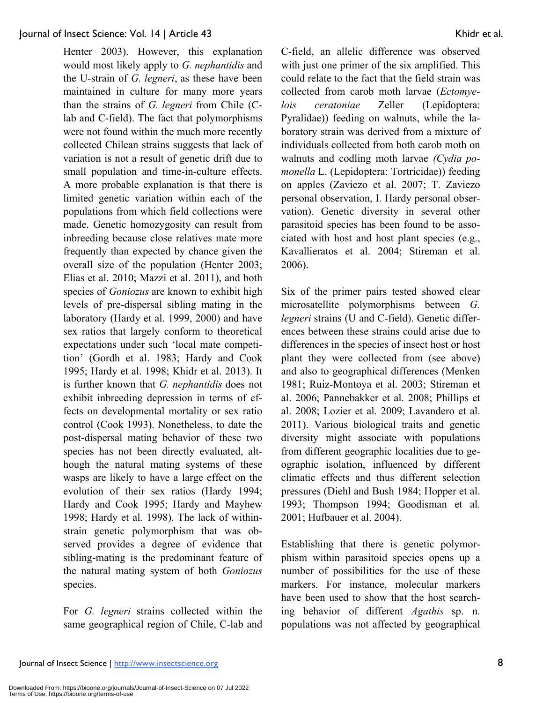Henter 2003). However, this explanation would most likely apply to *G. nephantidis* and the U-strain of *G. legneri*, as these have been maintained in culture for many more years than the strains of *G. legneri* from Chile (Clab and C-field). The fact that polymorphisms were not found within the much more recently collected Chilean strains suggests that lack of variation is not a result of genetic drift due to small population and time-in-culture effects. A more probable explanation is that there is limited genetic variation within each of the populations from which field collections were made. Genetic homozygosity can result from inbreeding because close relatives mate more frequently than expected by chance given the overall size of the population (Henter 2003; Elias et al. 2010; Mazzi et al. 2011), and both species of *Goniozus* are known to exhibit high levels of pre-dispersal sibling mating in the laboratory (Hardy et al. 1999, 2000) and have sex ratios that largely conform to theoretical expectations under such 'local mate competition' (Gordh et al. 1983; Hardy and Cook 1995; Hardy et al. 1998; Khidr et al. 2013). It is further known that *G. nephantidis* does not exhibit inbreeding depression in terms of effects on developmental mortality or sex ratio control (Cook 1993). Nonetheless, to date the post-dispersal mating behavior of these two species has not been directly evaluated, although the natural mating systems of these wasps are likely to have a large effect on the evolution of their sex ratios (Hardy 1994; Hardy and Cook 1995; Hardy and Mayhew 1998; Hardy et al. 1998). The lack of withinstrain genetic polymorphism that was observed provides a degree of evidence that sibling-mating is the predominant feature of the natural mating system of both *Goniozus*  species.

For *G. legneri* strains collected within the same geographical region of Chile, C-lab and C-field, an allelic difference was observed with just one primer of the six amplified. This could relate to the fact that the field strain was collected from carob moth larvae (*Ectomyelois ceratoniae* Zeller (Lepidoptera: Pyralidae)) feeding on walnuts, while the laboratory strain was derived from a mixture of individuals collected from both carob moth on walnuts and codling moth larvae *(Cydia pomonella* L. (Lepidoptera: Tortricidae)) feeding on apples (Zaviezo et al. 2007; T. Zaviezo personal observation, I. Hardy personal observation). Genetic diversity in several other parasitoid species has been found to be associated with host and host plant species (e.g., Kavallieratos et al. 2004; Stireman et al. 2006).

Six of the primer pairs tested showed clear microsatellite polymorphisms between *G. legneri* strains (U and C-field). Genetic differences between these strains could arise due to differences in the species of insect host or host plant they were collected from (see above) and also to geographical differences (Menken 1981; Ruiz-Montoya et al. 2003; Stireman et al. 2006; Pannebakker et al. 2008; Phillips et al. 2008; Lozier et al. 2009; Lavandero et al. 2011). Various biological traits and genetic diversity might associate with populations from different geographic localities due to geographic isolation, influenced by different climatic effects and thus different selection pressures (Diehl and Bush 1984; Hopper et al. 1993; Thompson 1994; Goodisman et al. 2001; Hufbauer et al. 2004).

Establishing that there is genetic polymorphism within parasitoid species opens up a number of possibilities for the use of these markers. For instance, molecular markers have been used to show that the host searching behavior of different *Agathis* sp. n. populations was not affected by geographical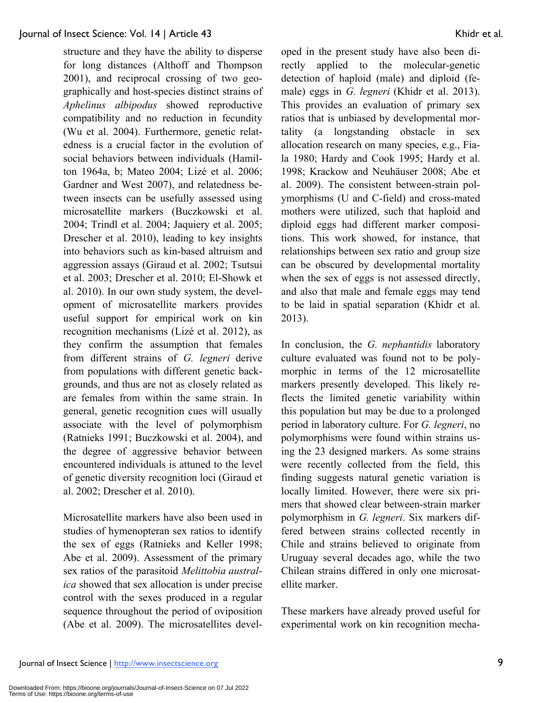structure and they have the ability to disperse for long distances (Althoff and Thompson 2001), and reciprocal crossing of two geographically and host-species distinct strains of *Aphelinus albipodus* showed reproductive compatibility and no reduction in fecundity (Wu et al. 2004). Furthermore, genetic relatedness is a crucial factor in the evolution of social behaviors between individuals (Hamilton 1964a, b; Mateo 2004; Lizé et al. 2006; Gardner and West 2007), and relatedness between insects can be usefully assessed using microsatellite markers (Buczkowski et al. 2004; Trindl et al. 2004; Jaquiery et al. 2005; Drescher et al. 2010), leading to key insights into behaviors such as kin-based altruism and aggression assays (Giraud et al. 2002; Tsutsui et al. 2003; Drescher et al. 2010; El-Showk et al. 2010). In our own study system, the development of microsatellite markers provides useful support for empirical work on kin recognition mechanisms (Lizé et al. 2012), as they confirm the assumption that females from different strains of *G. legneri* derive from populations with different genetic backgrounds, and thus are not as closely related as are females from within the same strain. In general, genetic recognition cues will usually associate with the level of polymorphism (Ratnieks 1991; Buczkowski et al. 2004), and the degree of aggressive behavior between encountered individuals is attuned to the level of genetic diversity recognition loci (Giraud et al. 2002; Drescher et al. 2010).

Microsatellite markers have also been used in studies of hymenopteran sex ratios to identify the sex of eggs (Ratnieks and Keller 1998; Abe et al. 2009). Assessment of the primary sex ratios of the parasitoid *Melittobia australica* showed that sex allocation is under precise control with the sexes produced in a regular sequence throughout the period of oviposition (Abe et al. 2009). The microsatellites developed in the present study have also been directly applied to the molecular-genetic detection of haploid (male) and diploid (female) eggs in *G. legneri* (Khidr et al. 2013). This provides an evaluation of primary sex ratios that is unbiased by developmental mortality (a longstanding obstacle in sex allocation research on many species, e.g., Fiala 1980; Hardy and Cook 1995; Hardy et al. 1998; Krackow and Neuhäuser 2008; Abe et al. 2009). The consistent between-strain polymorphisms (U and C-field) and cross-mated mothers were utilized, such that haploid and diploid eggs had different marker compositions. This work showed, for instance, that relationships between sex ratio and group size can be obscured by developmental mortality when the sex of eggs is not assessed directly, and also that male and female eggs may tend to be laid in spatial separation (Khidr et al. 2013).

In conclusion, the *G. nephantidis* laboratory culture evaluated was found not to be polymorphic in terms of the 12 microsatellite markers presently developed. This likely reflects the limited genetic variability within this population but may be due to a prolonged period in laboratory culture. For *G. legneri*, no polymorphisms were found within strains using the 23 designed markers. As some strains were recently collected from the field, this finding suggests natural genetic variation is locally limited. However, there were six primers that showed clear between-strain marker polymorphism in *G. legneri*. Six markers differed between strains collected recently in Chile and strains believed to originate from Uruguay several decades ago, while the two Chilean strains differed in only one microsatellite marker.

These markers have already proved useful for experimental work on kin recognition mecha-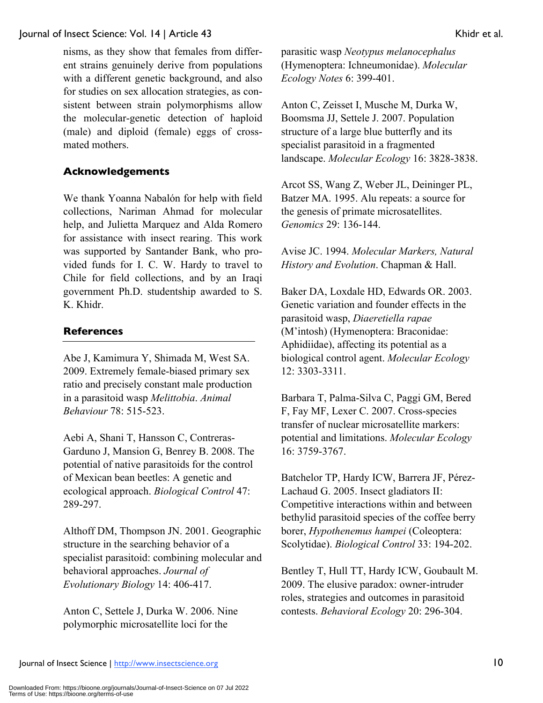nisms, as they show that females from different strains genuinely derive from populations with a different genetic background, and also for studies on sex allocation strategies, as consistent between strain polymorphisms allow the molecular-genetic detection of haploid (male) and diploid (female) eggs of crossmated mothers.

## **Acknowledgements**

We thank Yoanna Nabalón for help with field collections, Nariman Ahmad for molecular help, and Julietta Marquez and Alda Romero for assistance with insect rearing. This work was supported by Santander Bank, who provided funds for I. C. W. Hardy to travel to Chile for field collections, and by an Iraqi government Ph.D. studentship awarded to S. K. Khidr.

## **References**

Abe J, Kamimura Y, Shimada M, West SA. 2009. Extremely female-biased primary sex ratio and precisely constant male production in a parasitoid wasp *Melittobia*. *Animal Behaviour* 78: 515-523.

Aebi A, Shani T, Hansson C, Contreras-Garduno J, Mansion G, Benrey B. 2008. The potential of native parasitoids for the control of Mexican bean beetles: A genetic and ecological approach. *Biological Control* 47: 289-297.

Althoff DM, Thompson JN. 2001. Geographic structure in the searching behavior of a specialist parasitoid: combining molecular and behavioral approaches. *Journal of Evolutionary Biology* 14: 406-417.

Anton C, Settele J, Durka W. 2006. Nine polymorphic microsatellite loci for the

parasitic wasp *Neotypus melanocephalus*  (Hymenoptera: Ichneumonidae). *Molecular Ecology Notes* 6: 399-401.

Anton C, Zeisset I, Musche M, Durka W, Boomsma JJ, Settele J. 2007. Population structure of a large blue butterfly and its specialist parasitoid in a fragmented landscape. *Molecular Ecology* 16: 3828-3838.

Arcot SS, Wang Z, Weber JL, Deininger PL, Batzer MA. 1995. Alu repeats: a source for the genesis of primate microsatellites. *Genomics* 29: 136-144.

Avise JC. 1994. *Molecular Markers, Natural History and Evolution*. Chapman & Hall.

Baker DA, Loxdale HD, Edwards OR. 2003. Genetic variation and founder effects in the parasitoid wasp, *Diaeretiella rapae*  (M'intosh) (Hymenoptera: Braconidae: Aphidiidae), affecting its potential as a biological control agent. *Molecular Ecology*  12: 3303-3311.

Barbara T, Palma-Silva C, Paggi GM, Bered F, Fay MF, Lexer C. 2007. Cross-species transfer of nuclear microsatellite markers: potential and limitations. *Molecular Ecology*  16: 3759-3767.

Batchelor TP, Hardy ICW, Barrera JF, Pérez-Lachaud G. 2005. Insect gladiators II: Competitive interactions within and between bethylid parasitoid species of the coffee berry borer, *Hypothenemus hampei* (Coleoptera: Scolytidae). *Biological Control* 33: 194-202.

Bentley T, Hull TT, Hardy ICW, Goubault M. 2009. The elusive paradox: owner-intruder roles, strategies and outcomes in parasitoid contests. *Behavioral Ecology* 20: 296-304.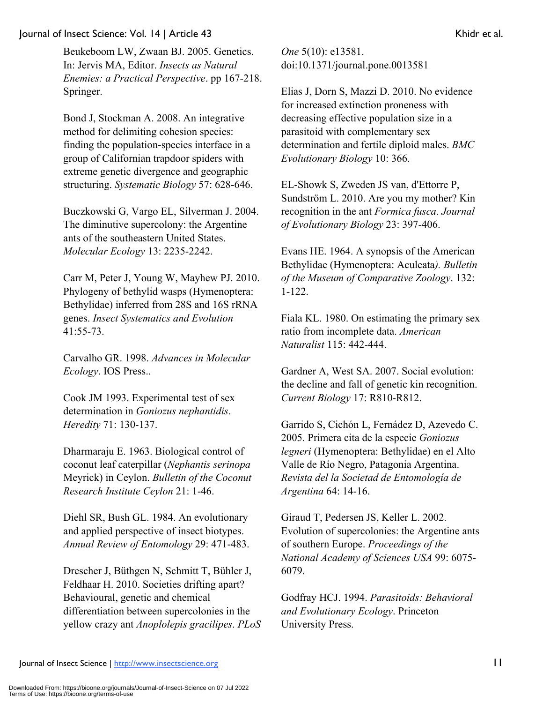Beukeboom LW, Zwaan BJ. 2005. Genetics. In: Jervis MA, Editor. *Insects as Natural Enemies: a Practical Perspective*. pp 167-218. Springer.

Bond J, Stockman A. 2008. An integrative method for delimiting cohesion species: finding the population-species interface in a group of Californian trapdoor spiders with extreme genetic divergence and geographic structuring. *Systematic Biology* 57: 628-646.

Buczkowski G, Vargo EL, Silverman J. 2004. The diminutive supercolony: the Argentine ants of the southeastern United States. *Molecular Ecology* 13: 2235-2242.

Carr M, Peter J, Young W, Mayhew PJ. 2010. Phylogeny of bethylid wasps (Hymenoptera: Bethylidae) inferred from 28S and 16S rRNA genes. *Insect Systematics and Evolution*  41:55-73.

Carvalho GR. 1998. *Advances in Molecular Ecology*. IOS Press..

Cook JM 1993. Experimental test of sex determination in *Goniozus nephantidis*. *Heredity* 71: 130-137.

Dharmaraju E. 1963. Biological control of coconut leaf caterpillar (*Nephantis serinopa*  Meyrick) in Ceylon. *Bulletin of the Coconut Research Institute Ceylon* 21: 1-46.

Diehl SR, Bush GL. 1984. An evolutionary and applied perspective of insect biotypes. *Annual Review of Entomology* 29: 471-483.

Drescher J, Büthgen N, Schmitt T, Bühler J, Feldhaar H. 2010. Societies drifting apart? Behavioural, genetic and chemical differentiation between supercolonies in the yellow crazy ant *Anoplolepis gracilipes*. *PLoS*  *One* 5(10): e13581. doi:10.1371/journal.pone.0013581

Elias J, Dorn S, Mazzi D. 2010. No evidence for increased extinction proneness with decreasing effective population size in a parasitoid with complementary sex determination and fertile diploid males. *BMC Evolutionary Biology* 10: 366.

EL-Showk S, Zweden JS van, d'Ettorre P, Sundström L. 2010. Are you my mother? Kin recognition in the ant *Formica fusca*. *Journal of Evolutionary Biology* 23: 397-406.

Evans HE. 1964. A synopsis of the American Bethylidae (Hymenoptera: Aculeata*). Bulletin of the Museum of Comparative Zoology*. 132: 1-122.

Fiala KL. 1980. On estimating the primary sex ratio from incomplete data. *American Naturalist* 115: 442-444.

Gardner A, West SA. 2007. Social evolution: the decline and fall of genetic kin recognition. *Current Biology* 17: R810-R812.

Garrido S, Cichón L, Fernádez D, Azevedo C. 2005. Primera cita de la especie *Goniozus legneri* (Hymenoptera: Bethylidae) en el Alto Valle de Río Negro, Patagonia Argentina. *Revista del la Societad de Entomología de Argentina* 64: 14-16.

Giraud T, Pedersen JS, Keller L. 2002. Evolution of supercolonies: the Argentine ants of southern Europe. *Proceedings of the National Academy of Sciences USA* 99: 6075- 6079.

Godfray HCJ. 1994. *Parasitoids: Behavioral and Evolutionary Ecology*. Princeton University Press.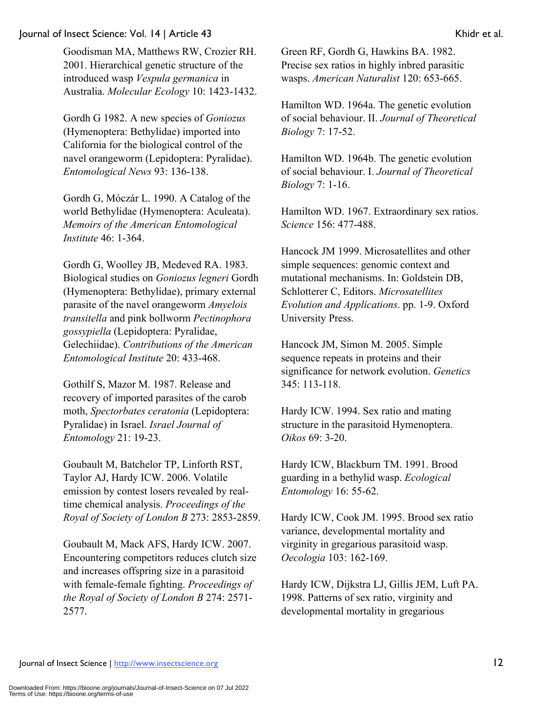Goodisman MA, Matthews RW, Crozier RH. 2001. Hierarchical genetic structure of the introduced wasp *Vespula germanica* in Australia. *Molecular Ecology* 10: 1423-1432.

Gordh G 1982. A new species of *Goniozus* (Hymenoptera: Bethylidae) imported into California for the biological control of the navel orangeworm (Lepidoptera: Pyralidae). *Entomological News* 93: 136-138.

Gordh G, Móczár L. 1990. A Catalog of the world Bethylidae (Hymenoptera: Aculeata). *Memoirs of the American Entomological Institute* 46: 1-364.

Gordh G, Woolley JB, Medeved RA. 1983. Biological studies on *Goniozus legneri* Gordh (Hymenoptera: Bethylidae), primary external parasite of the navel orangeworm *Amyelois transitella* and pink bollworm *Pectinophora gossypiella* (Lepidoptera: Pyralidae, Gelechiidae). *Contributions of the American Entomological Institute* 20: 433-468.

Gothilf S, Mazor M. 1987. Release and recovery of imported parasites of the carob moth, *Spectorbates ceratonia* (Lepidoptera: Pyralidae) in Israel. *Israel Journal of Entomology* 21: 19-23.

Goubault M, Batchelor TP, Linforth RST, Taylor AJ, Hardy ICW. 2006. Volatile emission by contest losers revealed by realtime chemical analysis. *Proceedings of the Royal of Society of London B* 273: 2853-2859.

Goubault M, Mack AFS, Hardy ICW. 2007. Encountering competitors reduces clutch size and increases offspring size in a parasitoid with female-female fighting. *Proceedings of the Royal of Society of London B* 274: 2571- 2577.

Green RF, Gordh G, Hawkins BA. 1982. Precise sex ratios in highly inbred parasitic wasps. *American Naturalist* 120: 653-665.

Hamilton WD. 1964a. The genetic evolution of social behaviour. II. *Journal of Theoretical Biology* 7: 17-52.

Hamilton WD. 1964b. The genetic evolution of social behaviour. I. *Journal of Theoretical Biology* 7: 1-16.

Hamilton WD. 1967. Extraordinary sex ratios. *Science* 156: 477-488.

Hancock JM 1999. Microsatellites and other simple sequences: genomic context and mutational mechanisms. In: Goldstein DB, Schlotterer C, Editors. *Microsatellites Evolution and Applications*. pp. 1-9. Oxford University Press.

Hancock JM, Simon M. 2005. Simple sequence repeats in proteins and their significance for network evolution. *Genetics*  345: 113-118.

Hardy ICW. 1994. Sex ratio and mating structure in the parasitoid Hymenoptera. *Oikos* 69: 3-20.

Hardy ICW, Blackburn TM. 1991. Brood guarding in a bethylid wasp. *Ecological Entomology* 16: 55-62.

Hardy ICW, Cook JM. 1995. Brood sex ratio variance, developmental mortality and virginity in gregarious parasitoid wasp. *Oecologia* 103: 162-169.

Hardy ICW, Dijkstra LJ, Gillis JEM, Luft PA. 1998. Patterns of sex ratio, virginity and developmental mortality in gregarious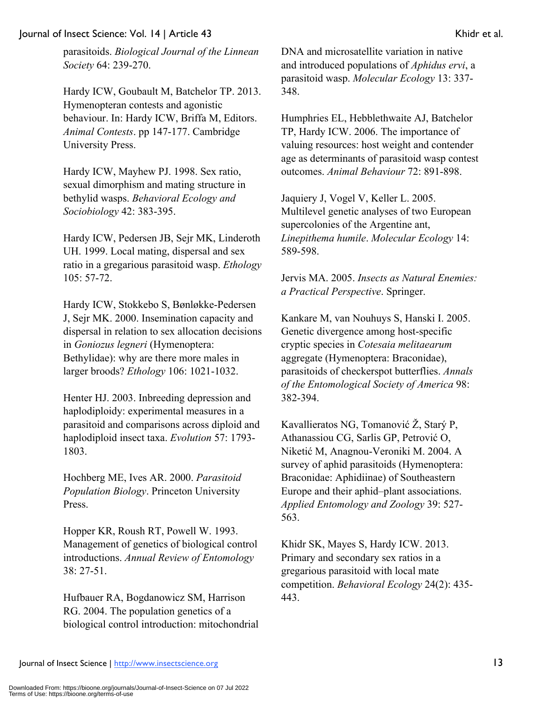parasitoids. *Biological Journal of the Linnean Society* 64: 239-270.

Hardy ICW, Goubault M, Batchelor TP. 2013. Hymenopteran contests and agonistic behaviour. In: Hardy ICW, Briffa M, Editors. *Animal Contests*. pp 147-177. Cambridge University Press.

Hardy ICW, Mayhew PJ. 1998. Sex ratio, sexual dimorphism and mating structure in bethylid wasps. *Behavioral Ecology and Sociobiology* 42: 383-395.

Hardy ICW, Pedersen JB, Sejr MK, Linderoth UH. 1999. Local mating, dispersal and sex ratio in a gregarious parasitoid wasp. *Ethology* 105: 57-72.

Hardy ICW, Stokkebo S, Bønløkke-Pedersen J, Sejr MK. 2000. Insemination capacity and dispersal in relation to sex allocation decisions in *Goniozus legneri* (Hymenoptera: Bethylidae): why are there more males in larger broods? *Ethology* 106: 1021-1032.

Henter HJ. 2003. Inbreeding depression and haplodiploidy: experimental measures in a parasitoid and comparisons across diploid and haplodiploid insect taxa. *Evolution* 57: 1793- 1803.

Hochberg ME, Ives AR. 2000. *Parasitoid Population Biology*. Princeton University Press.

Hopper KR, Roush RT, Powell W. 1993. Management of genetics of biological control introductions. *Annual Review of Entomology*  38: 27-51.

Hufbauer RA, Bogdanowicz SM, Harrison RG. 2004. The population genetics of a biological control introduction: mitochondrial

DNA and microsatellite variation in native and introduced populations of *Aphidus ervi*, a parasitoid wasp. *Molecular Ecology* 13: 337- 348.

Humphries EL, Hebblethwaite AJ, Batchelor TP, Hardy ICW. 2006. The importance of valuing resources: host weight and contender age as determinants of parasitoid wasp contest outcomes. *Animal Behaviour* 72: 891-898.

Jaquiery J, Vogel V, Keller L. 2005. Multilevel genetic analyses of two European supercolonies of the Argentine ant, *Linepithema humile*. *Molecular Ecology* 14: 589-598.

Jervis MA. 2005. *Insects as Natural Enemies: a Practical Perspective*. Springer.

Kankare M, van Nouhuys S, Hanski I. 2005. Genetic divergence among host-specific cryptic species in *Cotesaia melitaearum*  aggregate (Hymenoptera: Braconidae), parasitoids of checkerspot butterflies. *Annals of the Entomological Society of America* 98: 382-394.

Kavallieratos NG, Tomanović Ž, Starý P, Athanassiou CG, Sarlis GP, Petrović O, Niketić M, Anagnou-Veroniki M. 2004. A survey of aphid parasitoids (Hymenoptera: Braconidae: Aphidiinae) of Southeastern Europe and their aphid–plant associations. *Applied Entomology and Zoology* 39: 527- 563.

Khidr SK, Mayes S, Hardy ICW. 2013. Primary and secondary sex ratios in a gregarious parasitoid with local mate competition. *Behavioral Ecology* 24(2): 435- 443.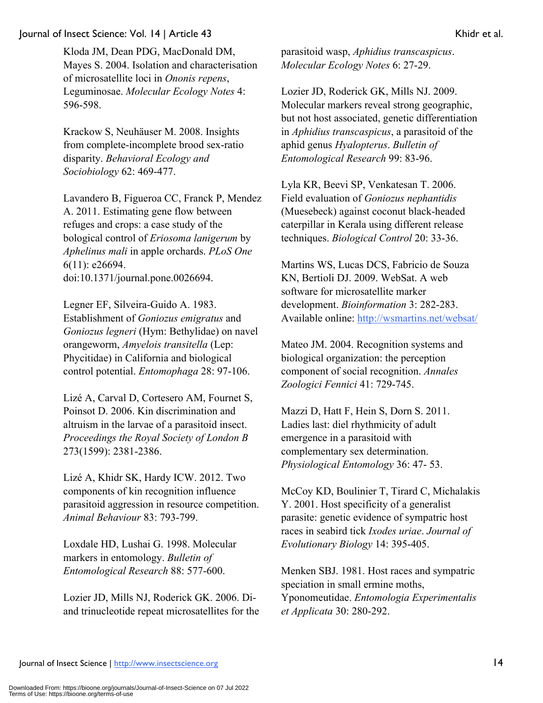Kloda JM, Dean PDG, MacDonald DM, Mayes S. 2004. Isolation and characterisation of microsatellite loci in *Ononis repens*, Leguminosae. *Molecular Ecology Notes* 4: 596-598.

Krackow S, Neuhäuser M. 2008. Insights from complete-incomplete brood sex-ratio disparity. *Behavioral Ecology and Sociobiology* 62: 469-477.

Lavandero B, Figueroa CC, Franck P, Mendez A. 2011. Estimating gene flow between refuges and crops: a case study of the bological control of *Eriosoma lanigerum* by *Aphelinus mali* in apple orchards. *PLoS One*  6(11): e26694. doi:10.1371/journal.pone.0026694.

Legner EF, Silveira-Guido A. 1983. Establishment of *Goniozus emigratus* and *Goniozus legneri* (Hym: Bethylidae) on navel orangeworm, *Amyelois transitella* (Lep: Phycitidae) in California and biological control potential. *Entomophaga* 28: 97-106.

Lizé A, Carval D, Cortesero AM, Fournet S, Poinsot D. 2006. Kin discrimination and altruism in the larvae of a parasitoid insect. *Proceedings the Royal Society of London B*  273(1599): 2381-2386.

Lizé A, Khidr SK, Hardy ICW. 2012. Two components of kin recognition influence parasitoid aggression in resource competition. *Animal Behaviour* 83: 793-799.

Loxdale HD, Lushai G. 1998. Molecular markers in entomology. *Bulletin of Entomological Research* 88: 577-600.

Lozier JD, Mills NJ, Roderick GK. 2006. Diand trinucleotide repeat microsatellites for the

parasitoid wasp, *Aphidius transcaspicus*. *Molecular Ecology Notes* 6: 27-29.

Lozier JD, Roderick GK, Mills NJ. 2009. Molecular markers reveal strong geographic, but not host associated, genetic differentiation in *Aphidius transcaspicus*, a parasitoid of the aphid genus *Hyalopterus*. *Bulletin of Entomological Research* 99: 83-96.

Lyla KR, Beevi SP, Venkatesan T. 2006. Field evaluation of *Goniozus nephantidis*  (Muesebeck) against coconut black-headed caterpillar in Kerala using different release techniques. *Biological Control* 20: 33-36.

Martins WS, Lucas DCS, Fabricio de Souza KN, Bertioli DJ. 2009. WebSat. A web software for microsatellite marker development. *Bioinformation* 3: 282-283. Available online: http://wsmartins.net/websat/

Mateo JM. 2004. Recognition systems and biological organization: the perception component of social recognition. *Annales Zoologici Fennici* 41: 729-745.

Mazzi D, Hatt F, Hein S, Dorn S. 2011. Ladies last: diel rhythmicity of adult emergence in a parasitoid with complementary sex determination. *Physiological Entomology* 36: 47- 53.

McCoy KD, Boulinier T, Tirard C, Michalakis Y. 2001. Host specificity of a generalist parasite: genetic evidence of sympatric host races in seabird tick *Ixodes uriae*. *Journal of Evolutionary Biology* 14: 395-405.

Menken SBJ. 1981. Host races and sympatric speciation in small ermine moths, Yponomeutidae. *Entomologia Experimentalis et Applicata* 30: 280-292.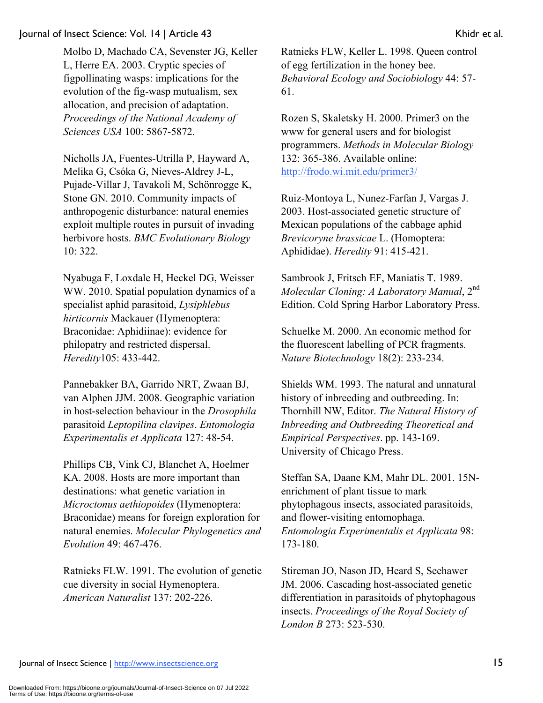Molbo D, Machado CA, Sevenster JG, Keller L, Herre EA. 2003. Cryptic species of figpollinating wasps: implications for the evolution of the fig-wasp mutualism, sex allocation, and precision of adaptation. *Proceedings of the National Academy of Sciences USA* 100: 5867-5872.

Nicholls JA, Fuentes-Utrilla P, Hayward A, Melika G, Csóka G, Nieves-Aldrey J-L, Pujade-Villar J, Tavakoli M, Schönrogge K, Stone GN. 2010. Community impacts of anthropogenic disturbance: natural enemies exploit multiple routes in pursuit of invading herbivore hosts. *BMC Evolutionary Biology*  10: 322.

Nyabuga F, Loxdale H, Heckel DG, Weisser WW. 2010. Spatial population dynamics of a specialist aphid parasitoid, *Lysiphlebus hirticornis* Mackauer (Hymenoptera: Braconidae: Aphidiinae): evidence for philopatry and restricted dispersal. *Heredity*105: 433-442.

Pannebakker BA, Garrido NRT, Zwaan BJ, van Alphen JJM. 2008. Geographic variation in host-selection behaviour in the *Drosophila*  parasitoid *Leptopilina clavipes*. *Entomologia Experimentalis et Applicata* 127: 48-54.

Phillips CB, Vink CJ, Blanchet A, Hoelmer KA. 2008. Hosts are more important than destinations: what genetic variation in *Microctonus aethiopoides* (Hymenoptera: Braconidae) means for foreign exploration for natural enemies. *Molecular Phylogenetics and Evolution* 49: 467-476.

Ratnieks FLW. 1991. The evolution of genetic cue diversity in social Hymenoptera. *American Naturalist* 137: 202-226.

Ratnieks FLW, Keller L. 1998. Queen control of egg fertilization in the honey bee. *Behavioral Ecology and Sociobiology* 44: 57- 61.

Rozen S, Skaletsky H. 2000. Primer3 on the www for general users and for biologist programmers. *Methods in Molecular Biology* 132: 365-386. Available online: http://frodo.wi.mit.edu/primer3/

Ruiz-Montoya L, Nunez-Farfan J, Vargas J. 2003. Host-associated genetic structure of Mexican populations of the cabbage aphid *Brevicoryne brassicae* L. (Homoptera: Aphididae). *Heredity* 91: 415-421.

Sambrook J, Fritsch EF, Maniatis T. 1989. *Molecular Cloning: A Laboratory Manual*,  $2<sup>nd</sup>$ Edition. Cold Spring Harbor Laboratory Press.

Schuelke M. 2000. An economic method for the fluorescent labelling of PCR fragments. *Nature Biotechnology* 18(2): 233-234.

Shields WM. 1993. The natural and unnatural history of inbreeding and outbreeding. In: Thornhill NW, Editor. *The Natural History of Inbreeding and Outbreeding Theoretical and Empirical Perspectives*. pp. 143-169. University of Chicago Press.

Steffan SA, Daane KM, Mahr DL. 2001. 15Nenrichment of plant tissue to mark phytophagous insects, associated parasitoids, and flower-visiting entomophaga. *Entomologia Experimentalis et Applicata* 98: 173-180.

Stireman JO, Nason JD, Heard S, Seehawer JM. 2006. Cascading host-associated genetic differentiation in parasitoids of phytophagous insects. *Proceedings of the Royal Society of London B* 273: 523-530.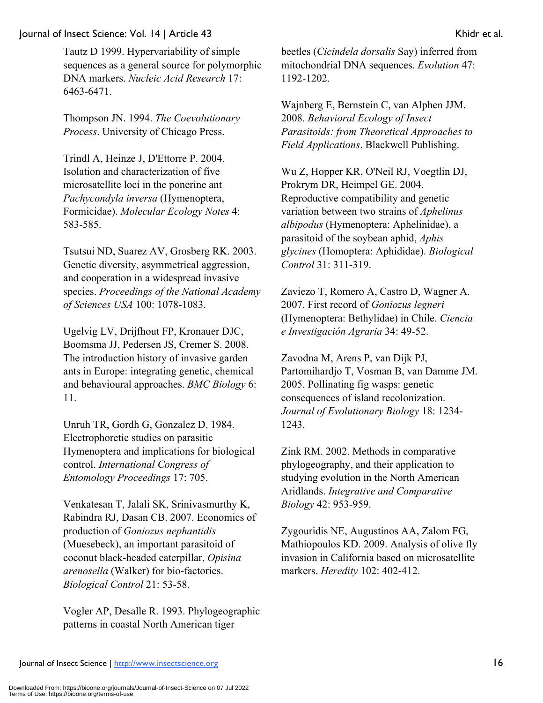Tautz D 1999. Hypervariability of simple sequences as a general source for polymorphic DNA markers. *Nucleic Acid Research* 17: 6463-6471.

Thompson JN. 1994. *The Coevolutionary Process*. University of Chicago Press.

Trindl A, Heinze J, D'Ettorre P. 2004. Isolation and characterization of five microsatellite loci in the ponerine ant *Pachycondyla inversa* (Hymenoptera, Formicidae). *Molecular Ecology Notes* 4: 583-585.

Tsutsui ND, Suarez AV, Grosberg RK. 2003. Genetic diversity, asymmetrical aggression, and cooperation in a widespread invasive species. *Proceedings of the National Academy of Sciences USA* 100: 1078-1083.

Ugelvig LV, Drijfhout FP, Kronauer DJC, Boomsma JJ, Pedersen JS, Cremer S. 2008. The introduction history of invasive garden ants in Europe: integrating genetic, chemical and behavioural approaches. *BMC Biology* 6: 11.

Unruh TR, Gordh G, Gonzalez D. 1984. Electrophoretic studies on parasitic Hymenoptera and implications for biological control. *International Congress of Entomology Proceedings* 17: 705.

Venkatesan T, Jalali SK, Srinivasmurthy K, Rabindra RJ, Dasan CB. 2007. Economics of production of *Goniozus nephantidis*  (Muesebeck), an important parasitoid of coconut black-headed caterpillar, *Opisina arenosella* (Walker) for bio-factories. *Biological Control* 21: 53-58.

Vogler AP, Desalle R. 1993. Phylogeographic patterns in coastal North American tiger

beetles (*Cicindela dorsalis* Say) inferred from mitochondrial DNA sequences. *Evolution* 47: 1192-1202.

Wajnberg E, Bernstein C, van Alphen JJM. 2008. *Behavioral Ecology of Insect Parasitoids: from Theoretical Approaches to Field Applications*. Blackwell Publishing.

Wu Z, Hopper KR, O'Neil RJ, Voegtlin DJ, Prokrym DR, Heimpel GE. 2004. Reproductive compatibility and genetic variation between two strains of *Aphelinus albipodus* (Hymenoptera: Aphelinidae), a parasitoid of the soybean aphid, *Aphis glycines* (Homoptera: Aphididae). *Biological Control* 31: 311-319.

Zaviezo T, Romero A, Castro D, Wagner A. 2007. First record of *Goniozus legneri* (Hymenoptera: Bethylidae) in Chile. *Ciencia e Investigación Agraria* 34: 49-52.

Zavodna M, Arens P, van Dijk PJ, Partomihardjo T, Vosman B, van Damme JM. 2005. Pollinating fig wasps: genetic consequences of island recolonization. *Journal of Evolutionary Biology* 18: 1234- 1243.

Zink RM. 2002. Methods in comparative phylogeography, and their application to studying evolution in the North American Aridlands. *Integrative and Comparative Biology* 42: 953-959.

Zygouridis NE, Augustinos AA, Zalom FG, Mathiopoulos KD. 2009. Analysis of olive fly invasion in California based on microsatellite markers. *Heredity* 102: 402-412.